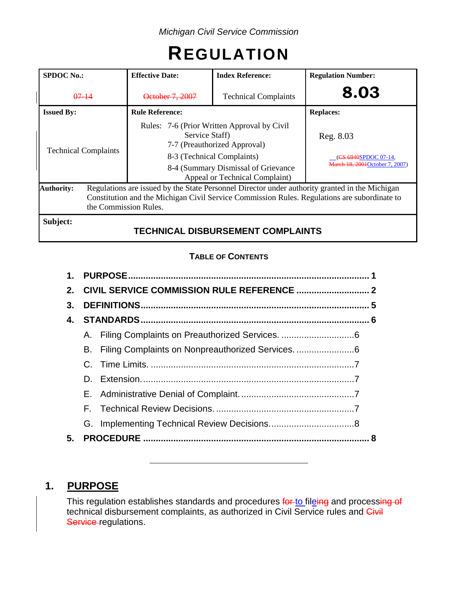# **REGULATION**

| <b>SPDOC No.:</b>           |  | <b>Effective Date:</b>                                                                                                                                                                                                  | <b>Index Reference:</b>                  | <b>Regulation Number:</b>                                            |  |  |
|-----------------------------|--|-------------------------------------------------------------------------------------------------------------------------------------------------------------------------------------------------------------------------|------------------------------------------|----------------------------------------------------------------------|--|--|
| $07 - 14$                   |  | October 7, 2007                                                                                                                                                                                                         | <b>Technical Complaints</b>              | 8.03                                                                 |  |  |
| <b>Issued By:</b>           |  | <b>Rule Reference:</b>                                                                                                                                                                                                  |                                          | <b>Replaces:</b>                                                     |  |  |
| <b>Technical Complaints</b> |  | Rules: 7-6 (Prior Written Approval by Civil<br>Service Staff)<br>7-7 (Preauthorized Approval)<br>8-3 (Technical Complaints)<br>8-4 (Summary Dismissal of Grievance<br>Appeal or Technical Complaint)                    |                                          | Reg. 8.03<br>(CS 6940SPDOC 07-14,<br>March 18, 2001 October 7, 2007) |  |  |
| <b>Authority:</b>           |  | Regulations are issued by the State Personnel Director under authority granted in the Michigan<br>Constitution and the Michigan Civil Service Commission Rules. Regulations are subordinate to<br>the Commission Rules. |                                          |                                                                      |  |  |
| Subject:                    |  |                                                                                                                                                                                                                         | <b>TECHNICAL DISBURSEMENT COMPLAINTS</b> |                                                                      |  |  |

# **TABLE OF CONTENTS**

| 1.      |    |  |  |  |  |
|---------|----|--|--|--|--|
| $2_{-}$ |    |  |  |  |  |
| 3.      |    |  |  |  |  |
| 4.      |    |  |  |  |  |
|         |    |  |  |  |  |
|         | В. |  |  |  |  |
|         |    |  |  |  |  |
|         |    |  |  |  |  |
|         |    |  |  |  |  |
|         |    |  |  |  |  |
|         |    |  |  |  |  |
| 5.      |    |  |  |  |  |
|         |    |  |  |  |  |

# **1. PURPOSE**

This regulation establishes standards and procedures <del>for <u>to</u> fil<u>e</u>ing</del> and process<del>ing of</del> technical disbursement complaints, as authorized in Civil Service rules and Civil Service-regulations.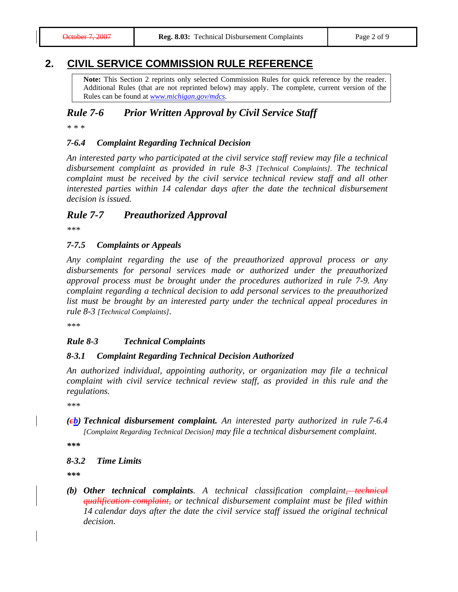# **2. CIVIL SERVICE COMMISSION RULE REFERENCE**

**Note:** This Section 2 reprints only selected Commission Rules for quick reference by the reader. Additional Rules (that are not reprinted below) may apply. The complete, current version of the Rules can be found at *[www.michigan.gov/mdcs](http://www.michigan.gov/mdcs)*.

## *Rule 7-6 Prior Written Approval by Civil Service Staff*

*\* \* \**

### *7-6.4 Complaint Regarding Technical Decision*

*An interested party who participated at the civil service staff review may file a technical disbursement complaint as provided in rule 8-3 [Technical Complaints]. The technical complaint must be received by the civil service technical review staff and all other interested parties within 14 calendar days after the date the technical disbursement decision is issued.*

## *Rule 7-7 Preauthorized Approval*

*\*\*\**

#### *7-7.5 Complaints or Appeals*

*Any complaint regarding the use of the preauthorized approval process or any disbursements for personal services made or authorized under the preauthorized approval process must be brought under the procedures authorized in rule 7-9. Any complaint regarding a technical decision to add personal services to the preauthorized list must be brought by an interested party under the technical appeal procedures in rule 8-3 [Technical Complaints].*

*\*\*\**

#### *Rule 8-3 Technical Complaints*

#### *8-3.1 Complaint Regarding Technical Decision Authorized*

*An authorized individual, appointing authority, or organization may file a technical complaint with civil service technical review staff, as provided in this rule and the regulations.*

*\*\*\**

*(cb) Technical disbursement complaint. An interested party authorized in rule 7-6.4 [Complaint Regarding Technical Decision] may file a technical disbursement complaint.*

*\*\*\**

## *8-3.2 Time Limits*

*\*\*\**

*(b) Other technical complaints. A technical classification complaint, technical qualification complaint, or technical disbursement complaint must be filed within 14 calendar days after the date the civil service staff issued the original technical decision.*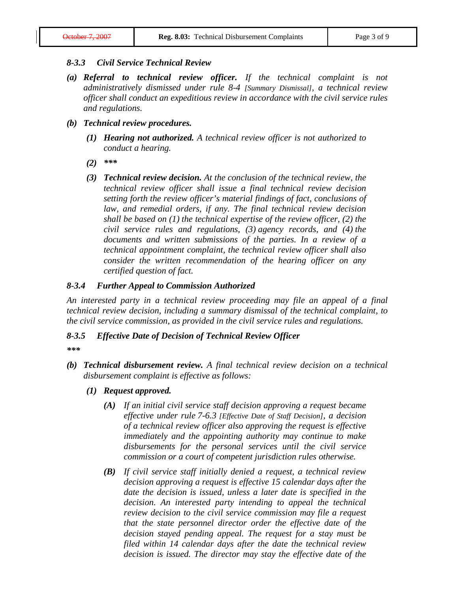### *8-3.3 Civil Service Technical Review*

- *(a) Referral to technical review officer. If the technical complaint is not administratively dismissed under rule 8-4 [Summary Dismissal], a technical review officer shall conduct an expeditious review in accordance with the civil service rules and regulations.*
- *(b) Technical review procedures.*
	- *(1) Hearing not authorized. A technical review officer is not authorized to conduct a hearing.*
	- *(2) \*\*\**
	- *(3) Technical review decision. At the conclusion of the technical review, the technical review officer shall issue a final technical review decision setting forth the review officer's material findings of fact, conclusions of*  law, and remedial orders, if any. The final technical review decision *shall be based on (1) the technical expertise of the review officer, (2) the civil service rules and regulations, (3) agency records, and (4) the documents and written submissions of the parties. In a review of a technical appointment complaint, the technical review officer shall also consider the written recommendation of the hearing officer on any certified question of fact.*

## *8-3.4 Further Appeal to Commission Authorized*

*An interested party in a technical review proceeding may file an appeal of a final technical review decision, including a summary dismissal of the technical complaint, to the civil service commission, as provided in the civil service rules and regulations.*

#### *8-3.5 Effective Date of Decision of Technical Review Officer*

- *\*\*\**
- *(b) Technical disbursement review. A final technical review decision on a technical disbursement complaint is effective as follows:*
	- *(1) Request approved.*
		- *(A) If an initial civil service staff decision approving a request became effective under rule 7-6.3 [Effective Date of Staff Decision], a decision of a technical review officer also approving the request is effective immediately and the appointing authority may continue to make disbursements for the personal services until the civil service commission or a court of competent jurisdiction rules otherwise.*
		- *(B) If civil service staff initially denied a request, a technical review decision approving a request is effective 15 calendar days after the date the decision is issued, unless a later date is specified in the decision. An interested party intending to appeal the technical review decision to the civil service commission may file a request that the state personnel director order the effective date of the decision stayed pending appeal. The request for a stay must be filed within 14 calendar days after the date the technical review decision is issued. The director may stay the effective date of the*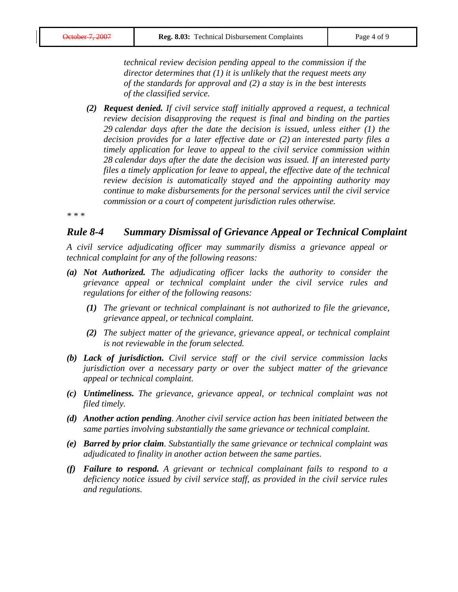*technical review decision pending appeal to the commission if the director determines that (1) it is unlikely that the request meets any of the standards for approval and (2) a stay is in the best interests of the classified service.*

*(2) Request denied. If civil service staff initially approved a request, a technical review decision disapproving the request is final and binding on the parties 29 calendar days after the date the decision is issued, unless either (1) the decision provides for a later effective date or (2) an interested party files a timely application for leave to appeal to the civil service commission within 28 calendar days after the date the decision was issued. If an interested party files a timely application for leave to appeal, the effective date of the technical review decision is automatically stayed and the appointing authority may continue to make disbursements for the personal services until the civil service commission or a court of competent jurisdiction rules otherwise.*

*\* \* \**

## *Rule 8-4 Summary Dismissal of Grievance Appeal or Technical Complaint*

*A civil service adjudicating officer may summarily dismiss a grievance appeal or technical complaint for any of the following reasons:*

- *(a) Not Authorized. The adjudicating officer lacks the authority to consider the grievance appeal or technical complaint under the civil service rules and regulations for either of the following reasons:*
	- *(1) The grievant or technical complainant is not authorized to file the grievance, grievance appeal, or technical complaint.*
	- *(2) The subject matter of the grievance, grievance appeal, or technical complaint is not reviewable in the forum selected.*
- *(b) Lack of jurisdiction. Civil service staff or the civil service commission lacks jurisdiction over a necessary party or over the subject matter of the grievance appeal or technical complaint.*
- *(c) Untimeliness. The grievance, grievance appeal, or technical complaint was not filed timely.*
- *(d) Another action pending. Another civil service action has been initiated between the same parties involving substantially the same grievance or technical complaint.*
- *(e) Barred by prior claim. Substantially the same grievance or technical complaint was adjudicated to finality in another action between the same parties.*
- *(f) Failure to respond. A grievant or technical complainant fails to respond to a deficiency notice issued by civil service staff, as provided in the civil service rules and regulations.*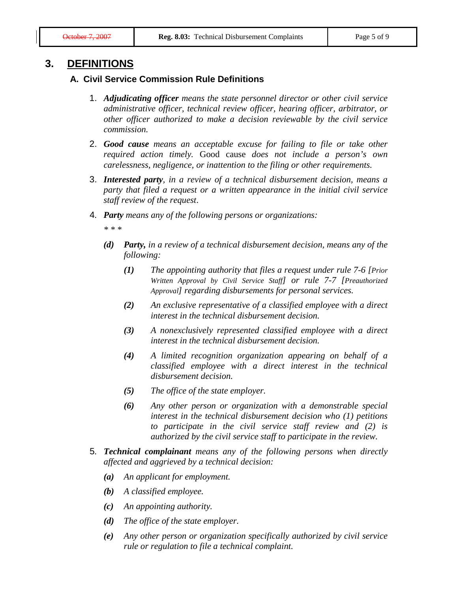# **3. DEFINITIONS**

## **A. Civil Service Commission Rule Definitions**

- 1. *Adjudicating officer means the state personnel director or other civil service administrative officer, technical review officer, hearing officer, arbitrator, or other officer authorized to make a decision reviewable by the civil service commission.*
- 2. *Good cause means an acceptable excuse for failing to file or take other required action timely.* Good cause *does not include a person's own carelessness, negligence, or inattention to the filing or other requirements.*
- 3. *Interested party, in a review of a technical disbursement decision, means a party that filed a request or a written appearance in the initial civil service staff review of the request*.
- 4*. Party means any of the following persons or organizations:*

*\* \* \**

- *(d) Party, in a review of a technical disbursement decision, means any of the following:*
	- *(1) The appointing authority that files a request under rule 7-6 [Prior Written Approval by Civil Service Staff] or rule 7-7 [Preauthorized Approval] regarding disbursements for personal services.*
	- *(2) An exclusive representative of a classified employee with a direct interest in the technical disbursement decision.*
	- *(3) A nonexclusively represented classified employee with a direct interest in the technical disbursement decision.*
	- *(4) A limited recognition organization appearing on behalf of a classified employee with a direct interest in the technical disbursement decision.*
	- *(5) The office of the state employer.*
	- *(6) Any other person or organization with a demonstrable special interest in the technical disbursement decision who (1) petitions to participate in the civil service staff review and (2) is authorized by the civil service staff to participate in the review.*
- 5*. Technical complainant means any of the following persons when directly affected and aggrieved by a technical decision:*
	- *(a) An applicant for employment.*
	- *(b) A classified employee.*
	- *(c) An appointing authority.*
	- *(d) The office of the state employer.*
	- *(e) Any other person or organization specifically authorized by civil service rule or regulation to file a technical complaint.*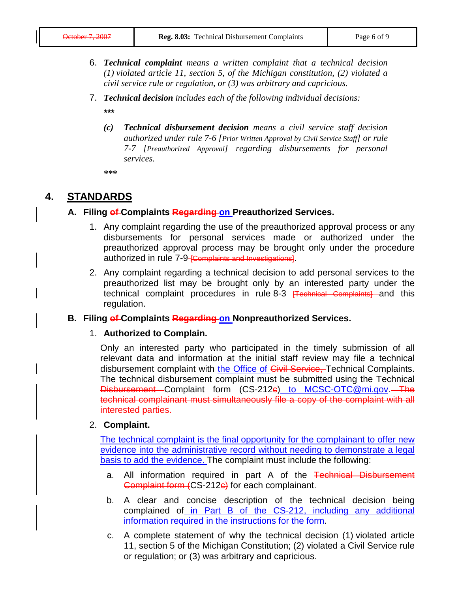- 6. *Technical complaint means a written complaint that a technical decision (1) violated article 11, section 5, of the Michigan constitution, (2) violated a civil service rule or regulation, or (3) was arbitrary and capricious.*
- 7. *Technical decision includes each of the following individual decisions:*

*\*\*\**

*(c) Technical disbursement decision means a civil service staff decision authorized under rule 7-6 [Prior Written Approval by Civil Service Staff] or rule 7-7 [Preauthorized Approval] regarding disbursements for personal services.*

**\*\*\***

# **4. STANDARDS**

# **A. Filing of Complaints Regarding on Preauthorized Services.**

- 1. Any complaint regarding the use of the preauthorized approval process or any disbursements for personal services made or authorized under the preauthorized approval process may be brought only under the procedure authorized in rule 7-9-<del>[Complaints and Investigations]</del>.
- 2. Any complaint regarding a technical decision to add personal services to the preauthorized list may be brought only by an interested party under the technical complaint procedures in rule 8-3 <del>[Technical Complaints]</del> and this regulation.

## **B. Filing of Complaints Regarding on Nonpreauthorized Services.**

## 1. **Authorized to Complain.**

Only an interested party who participated in the timely submission of all relevant data and information at the initial staff review may file a technical disbursement complaint with the Office of Civil Service, Technical Complaints. The technical disbursement complaint must be submitted using the Technical Disbursement Complaint form (CS-212e) to [MCSC-OTC@mi.gov.](mailto:MCSC-OTC@mi.gov) The technical complainant must simultaneously file a copy of the complaint with all interested parties.

## 2. **Complaint.**

The technical complaint is the final opportunity for the complainant to offer new evidence into the administrative record without needing to demonstrate a legal basis to add the evidence. The complaint must include the following:

- a. All information required in part A of the Technical Disbursement Complaint form (CS-212c) for each complainant.
- b. A clear and concise description of the technical decision being complained of in Part B of the CS-212, including any additional information required in the instructions for the form.
- c. A complete statement of why the technical decision (1) violated article 11, section 5 of the Michigan Constitution; (2) violated a Civil Service rule or regulation; or (3) was arbitrary and capricious.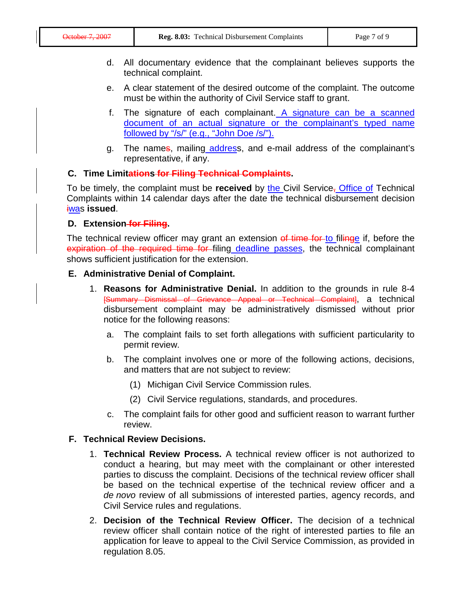- d. All documentary evidence that the complainant believes supports the technical complaint.
- e. A clear statement of the desired outcome of the complaint. The outcome must be within the authority of Civil Service staff to grant.
- f. The signature of each complainant. A signature can be a scanned document of an actual signature or the complainant's typed name followed by "/s/" (e.g., "John Doe /s/").
- g. The names, mailing address, and e-mail address of the complainant's representative, if any.

## **C. Time Limitations for Filing Technical Complaints.**

To be timely, the complaint must be **received** by the Civil Service<sub></sub>, Office of Technical Complaints within 14 calendar days after the date the technical disbursement decision iwas **issued**.

## **D. Extension for Filing.**

The technical review officer may grant an extension of time for to filinge if, before the expiration of the required time for filing deadline passes, the technical complainant shows sufficient justification for the extension.

## **E. Administrative Denial of Complaint.**

- 1. **Reasons for Administrative Denial.** In addition to the grounds in rule 8-4 [Summary Dismissal of Grievance Appeal or Technical Complaint], a technical disbursement complaint may be administratively dismissed without prior notice for the following reasons:
	- a. The complaint fails to set forth allegations with sufficient particularity to permit review.
	- b. The complaint involves one or more of the following actions, decisions, and matters that are not subject to review:
		- (1) Michigan Civil Service Commission rules.
		- (2) Civil Service regulations, standards, and procedures.
	- c. The complaint fails for other good and sufficient reason to warrant further review.

## **F. Technical Review Decisions.**

- 1. **Technical Review Process.** A technical review officer is not authorized to conduct a hearing, but may meet with the complainant or other interested parties to discuss the complaint. Decisions of the technical review officer shall be based on the technical expertise of the technical review officer and a *de novo* review of all submissions of interested parties, agency records, and Civil Service rules and regulations.
- 2. **Decision of the Technical Review Officer.** The decision of a technical review officer shall contain notice of the right of interested parties to file an application for leave to appeal to the Civil Service Commission, as provided in regulation 8.05.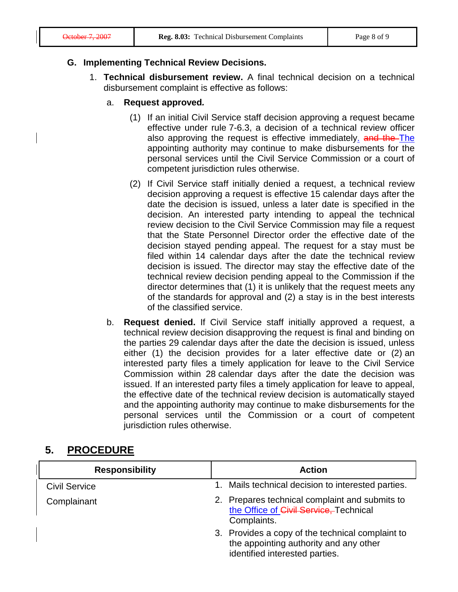## **G. Implementing Technical Review Decisions.**

- 1. **Technical disbursement review.** A final technical decision on a technical disbursement complaint is effective as follows:
	- a. **Request approved***.*
		- (1) If an initial Civil Service staff decision approving a request became effective under rule 7-6.3, a decision of a technical review officer also approving the request is effective immediately. and the The appointing authority may continue to make disbursements for the personal services until the Civil Service Commission or a court of competent jurisdiction rules otherwise.
		- (2) If Civil Service staff initially denied a request, a technical review decision approving a request is effective 15 calendar days after the date the decision is issued, unless a later date is specified in the decision. An interested party intending to appeal the technical review decision to the Civil Service Commission may file a request that the State Personnel Director order the effective date of the decision stayed pending appeal. The request for a stay must be filed within 14 calendar days after the date the technical review decision is issued. The director may stay the effective date of the technical review decision pending appeal to the Commission if the director determines that (1) it is unlikely that the request meets any of the standards for approval and (2) a stay is in the best interests of the classified service.
	- b. **Request denied.** If Civil Service staff initially approved a request, a technical review decision disapproving the request is final and binding on the parties 29 calendar days after the date the decision is issued, unless either (1) the decision provides for a later effective date or (2) an interested party files a timely application for leave to the Civil Service Commission within 28 calendar days after the date the decision was issued. If an interested party files a timely application for leave to appeal, the effective date of the technical review decision is automatically stayed and the appointing authority may continue to make disbursements for the personal services until the Commission or a court of competent jurisdiction rules otherwise.

# **5. PROCEDURE**

| <b>Responsibility</b> | <b>Action</b>                                                                                                                |
|-----------------------|------------------------------------------------------------------------------------------------------------------------------|
| <b>Civil Service</b>  | 1. Mails technical decision to interested parties.                                                                           |
| Complainant           | 2. Prepares technical complaint and submits to<br>the Office of Civil Service, Technical<br>Complaints.                      |
|                       | 3. Provides a copy of the technical complaint to<br>the appointing authority and any other<br>identified interested parties. |